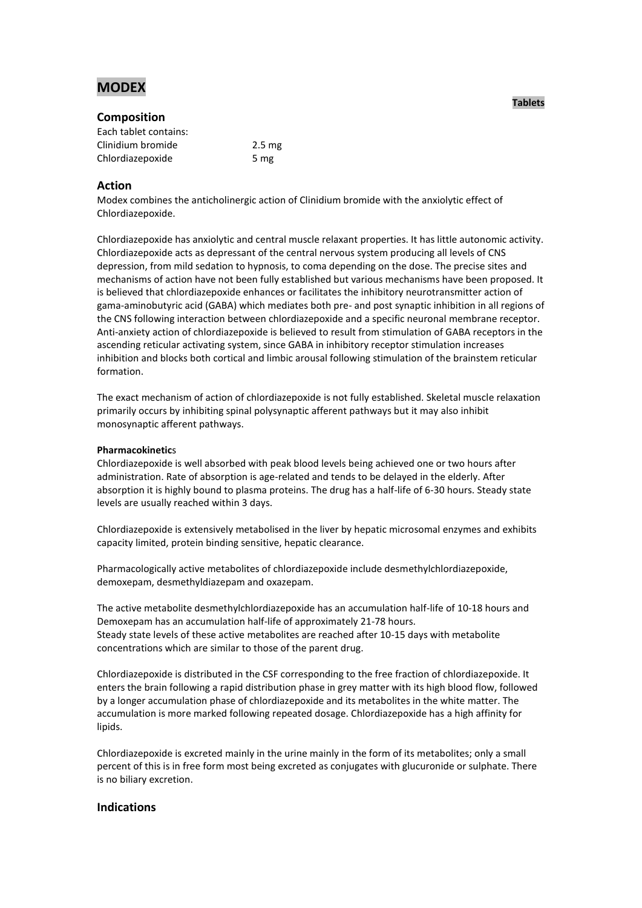# **MODEX**

# **Composition**

| Each tablet contains: |                   |
|-----------------------|-------------------|
| Clinidium bromide     | 2.5 <sub>mg</sub> |
| Chlordiazepoxide      | 5 mg              |

# **Action**

Modex combines the anticholinergic action of Clinidium bromide with the anxiolytic effect of Chlordiazepoxide.

Chlordiazepoxide has anxiolytic and central muscle relaxant properties. It has little autonomic activity. Chlordiazepoxide acts as depressant of the central nervous system producing all levels of CNS depression, from mild sedation to hypnosis, to coma depending on the dose. The precise sites and mechanisms of action have not been fully established but various mechanisms have been proposed. It is believed that chlordiazepoxide enhances or facilitates the inhibitory neurotransmitter action of gama-aminobutyric acid (GABA) which mediates both pre- and post synaptic inhibition in all regions of the CNS following interaction between chlordiazepoxide and a specific neuronal membrane receptor. Anti-anxiety action of chlordiazepoxide is believed to result from stimulation of GABA receptors in the ascending reticular activating system, since GABA in inhibitory receptor stimulation increases inhibition and blocks both cortical and limbic arousal following stimulation of the brainstem reticular formation.

The exact mechanism of action of chlordiazepoxide is not fully established. Skeletal muscle relaxation primarily occurs by inhibiting spinal polysynaptic afferent pathways but it may also inhibit monosynaptic afferent pathways.

# **Pharmacokinetic**s

Chlordiazepoxide is well absorbed with peak blood levels being achieved one or two hours after administration. Rate of absorption is age-related and tends to be delayed in the elderly. After absorption it is highly bound to plasma proteins. The drug has a half-life of 6-30 hours. Steady state levels are usually reached within 3 days.

Chlordiazepoxide is extensively metabolised in the liver by hepatic microsomal enzymes and exhibits capacity limited, protein binding sensitive, hepatic clearance.

Pharmacologically active metabolites of chlordiazepoxide include desmethylchlordiazepoxide, demoxepam, desmethyldiazepam and oxazepam.

The active metabolite desmethylchlordiazepoxide has an accumulation half-life of 10-18 hours and Demoxepam has an accumulation half-life of approximately 21-78 hours. Steady state levels of these active metabolites are reached after 10-15 days with metabolite concentrations which are similar to those of the parent drug.

Chlordiazepoxide is distributed in the CSF corresponding to the free fraction of chlordiazepoxide. It enters the brain following a rapid distribution phase in grey matter with its high blood flow, followed by a longer accumulation phase of chlordiazepoxide and its metabolites in the white matter. The accumulation is more marked following repeated dosage. Chlordiazepoxide has a high affinity for lipids.

Chlordiazepoxide is excreted mainly in the urine mainly in the form of its metabolites; only a small percent of this is in free form most being excreted as conjugates with glucuronide or sulphate. There is no biliary excretion.

# **Indications**

# **Tablets**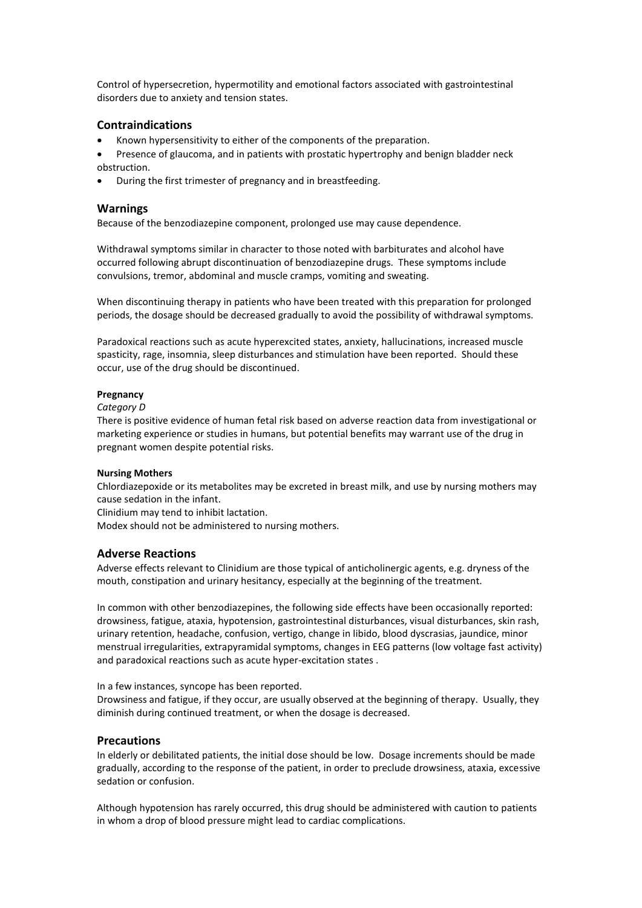Control of hypersecretion, hypermotility and emotional factors associated with gastrointestinal disorders due to anxiety and tension states.

# **Contraindications**

- Known hypersensitivity to either of the components of the preparation.
- Presence of glaucoma, and in patients with prostatic hypertrophy and benign bladder neck obstruction.
- During the first trimester of pregnancy and in breastfeeding.

### **Warnings**

Because of the benzodiazepine component, prolonged use may cause dependence.

Withdrawal symptoms similar in character to those noted with barbiturates and alcohol have occurred following abrupt discontinuation of benzodiazepine drugs. These symptoms include convulsions, tremor, abdominal and muscle cramps, vomiting and sweating.

When discontinuing therapy in patients who have been treated with this preparation for prolonged periods, the dosage should be decreased gradually to avoid the possibility of withdrawal symptoms.

Paradoxical reactions such as acute hyperexcited states, anxiety, hallucinations, increased muscle spasticity, rage, insomnia, sleep disturbances and stimulation have been reported. Should these occur, use of the drug should be discontinued.

#### **Pregnancy**

#### *Category D*

There is positive evidence of human fetal risk based on adverse reaction data from investigational or marketing experience or studies in humans, but potential benefits may warrant use of the drug in pregnant women despite potential risks.

#### **Nursing Mothers**

Chlordiazepoxide or its metabolites may be excreted in breast milk, and use by nursing mothers may cause sedation in the infant.

Clinidium may tend to inhibit lactation.

Modex should not be administered to nursing mothers.

# **Adverse Reactions**

Adverse effects relevant to Clinidium are those typical of anticholinergic agents, e.g. dryness of the mouth, constipation and urinary hesitancy, especially at the beginning of the treatment.

In common with other benzodiazepines, the following side effects have been occasionally reported: drowsiness, fatigue, ataxia, hypotension, gastrointestinal disturbances, visual disturbances, skin rash, urinary retention, headache, confusion, vertigo, change in libido, blood dyscrasias, jaundice, minor menstrual irregularities, extrapyramidal symptoms, changes in EEG patterns (low voltage fast activity) and paradoxical reactions such as acute hyper-excitation states .

In a few instances, syncope has been reported.

Drowsiness and fatigue, if they occur, are usually observed at the beginning of therapy. Usually, they diminish during continued treatment, or when the dosage is decreased.

# **Precautions**

In elderly or debilitated patients, the initial dose should be low. Dosage increments should be made gradually, according to the response of the patient, in order to preclude drowsiness, ataxia, excessive sedation or confusion.

Although hypotension has rarely occurred, this drug should be administered with caution to patients in whom a drop of blood pressure might lead to cardiac complications.